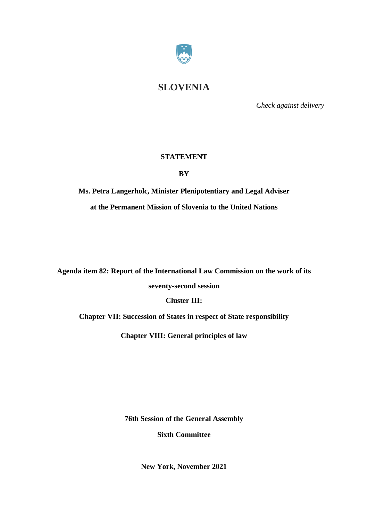

# **SLOVENIA**

*Check against delivery*

# **STATEMENT**

**BY**

**Ms. Petra Langerholc, Minister Plenipotentiary and Legal Adviser at the Permanent Mission of Slovenia to the United Nations**

**Agenda item 82: Report of the International Law Commission on the work of its**

**seventy-second session**

**Cluster III:**

**Chapter VII: Succession of States in respect of State responsibility**

**Chapter VIII: General [principles](http://legal.un.org/docs/?path=../ilc/reports/2021/english/chp8.pdf&lang=EFSRAC) of law**

**76th Session of the General Assembly**

**Sixth Committee**

**New York, November 2021**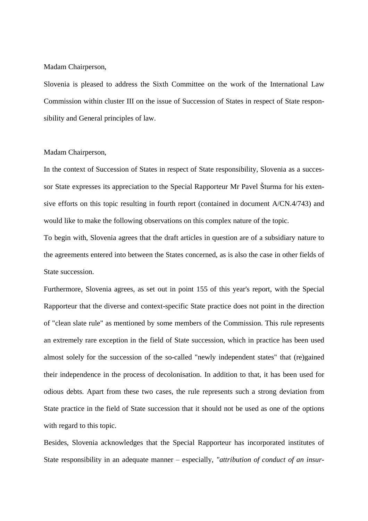## Madam Chairperson,

Slovenia is pleased to address the Sixth Committee on the work of the International Law Commission within cluster III on the issue of Succession of States in respect of State responsibility and General [principles](http://legal.un.org/docs/?path=../ilc/reports/2021/english/chp8.pdf&lang=EFSRAC) of law.

## Madam Chairperson,

In the context of Succession of States in respect of State responsibility, Slovenia as a successor State expresses its appreciation to the Special Rapporteur Mr Pavel Šturma for his extensive efforts on this topic resulting in fourth report (contained in document A/CN.4/743) and would like to make the following observations on this complex nature of the topic.

To begin with, Slovenia agrees that the draft articles in question are of a subsidiary nature to the agreements entered into between the States concerned, as is also the case in other fields of State succession.

Furthermore, Slovenia agrees, as set out in point 155 of this year's report, with the Special Rapporteur that the diverse and context-specific State practice does not point in the direction of "clean slate rule" as mentioned by some members of the Commission. This rule represents an extremely rare exception in the field of State succession, which in practice has been used almost solely for the succession of the so-called "newly independent states" that (re)gained their independence in the process of decolonisation. In addition to that, it has been used for odious debts. Apart from these two cases, the rule represents such a strong deviation from State practice in the field of State succession that it should not be used as one of the options with regard to this topic.

Besides, Slovenia acknowledges that the Special Rapporteur has incorporated institutes of State responsibility in an adequate manner – especially, *"attribution of conduct of an insur-*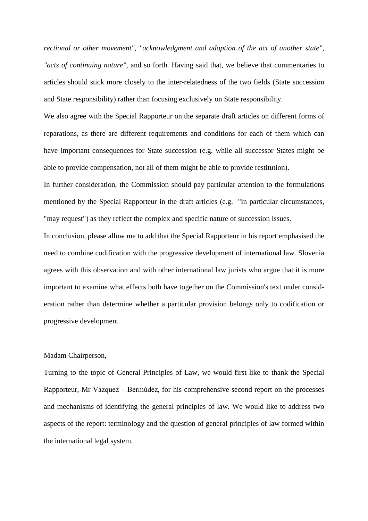*rectional or other movement", "acknowledgment and adoption of the act of another state", "acts of continuing nature"*, and so forth. Having said that, we believe that commentaries to articles should stick more closely to the inter-relatedness of the two fields (State succession and State responsibility) rather than focusing exclusively on State responsibility.

We also agree with the Special Rapporteur on the separate draft articles on different forms of reparations, as there are different requirements and conditions for each of them which can have important consequences for State succession (e.g. while all successor States might be able to provide compensation, not all of them might be able to provide restitution).

In further consideration, the Commission should pay particular attention to the formulations mentioned by the Special Rapporteur in the draft articles (e.g. "in particular circumstances, "may request") as they reflect the complex and specific nature of succession issues.

In conclusion, please allow me to add that the Special Rapporteur in his report emphasised the need to combine codification with the progressive development of international law. Slovenia agrees with this observation and with other international law jurists who argue that it is more important to examine what effects both have together on the Commission's text under consideration rather than determine whether a particular provision belongs only to codification or progressive development.

#### Madam Chairperson,

Turning to the topic of General Principles of Law, we would first like to thank the Special Rapporteur, Mr Vázquez – Bermúdez, for his comprehensive second report on the processes and mechanisms of identifying the general principles of law. We would like to address two aspects of the report: terminology and the question of general principles of law formed within the international legal system.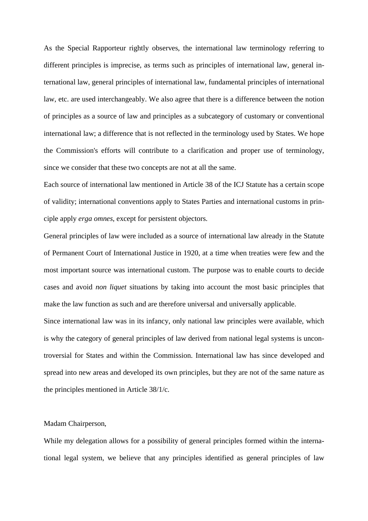As the Special Rapporteur rightly observes, the international law terminology referring to different principles is imprecise, as terms such as principles of international law, general international law, general principles of international law, fundamental principles of international law, etc. are used interchangeably. We also agree that there is a difference between the notion of principles as a source of law and principles as a subcategory of customary or conventional international law; a difference that is not reflected in the terminology used by States. We hope the Commission's efforts will contribute to a clarification and proper use of terminology, since we consider that these two concepts are not at all the same.

Each source of international law mentioned in Article 38 of the ICJ Statute has a certain scope of validity; international conventions apply to States Parties and international customs in principle apply *erga omnes*, except for persistent objectors.

General principles of law were included as a source of international law already in the Statute of Permanent Court of International Justice in 1920, at a time when treaties were few and the most important source was international custom. The purpose was to enable courts to decide cases and avoid *non liquet* situations by taking into account the most basic principles that make the law function as such and are therefore universal and universally applicable.

Since international law was in its infancy, only national law principles were available, which is why the category of general principles of law derived from national legal systems is uncontroversial for States and within the Commission. International law has since developed and spread into new areas and developed its own principles, but they are not of the same nature as the principles mentioned in Article 38/1/c.

#### Madam Chairperson,

While my delegation allows for a possibility of general principles formed within the international legal system, we believe that any principles identified as general principles of law